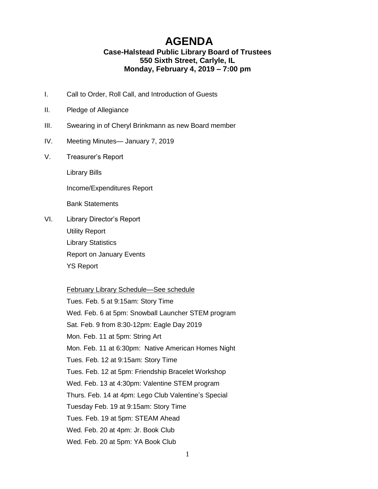## **AGENDA**

## **Case-Halstead Public Library Board of Trustees 550 Sixth Street, Carlyle, IL Monday, February 4, 2019 – 7:00 pm**

- I. Call to Order, Roll Call, and Introduction of Guests
- II. Pledge of Allegiance
- III. Swearing in of Cheryl Brinkmann as new Board member
- IV. Meeting Minutes— January 7, 2019
- V. Treasurer's Report

Library Bills

Income/Expenditures Report

Bank Statements

VI. Library Director's Report Utility Report Library Statistics Report on January Events YS Report

## February Library Schedule—See schedule

Tues. Feb. 5 at 9:15am: Story Time Wed. Feb. 6 at 5pm: Snowball Launcher STEM program Sat. Feb. 9 from 8:30-12pm: Eagle Day 2019 Mon. Feb. 11 at 5pm: String Art Mon. Feb. 11 at 6:30pm: Native American Homes Night Tues. Feb. 12 at 9:15am: Story Time Tues. Feb. 12 at 5pm: Friendship Bracelet Workshop Wed. Feb. 13 at 4:30pm: Valentine STEM program Thurs. Feb. 14 at 4pm: Lego Club Valentine's Special Tuesday Feb. 19 at 9:15am: Story Time Tues. Feb. 19 at 5pm: STEAM Ahead Wed. Feb. 20 at 4pm: Jr. Book Club Wed. Feb. 20 at 5pm: YA Book Club